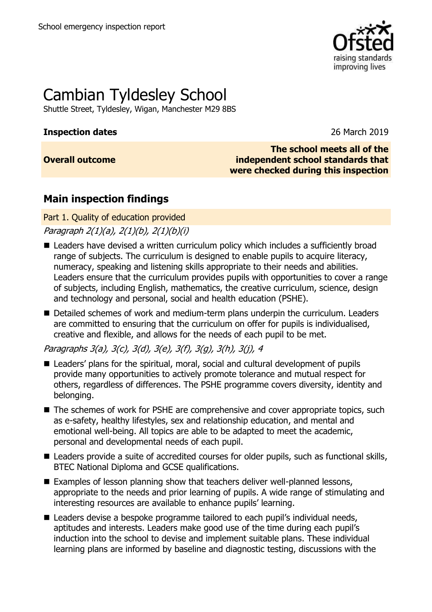

# Cambian Tyldesley School

Shuttle Street, Tyldesley, Wigan, Manchester M29 8BS

#### **Inspection dates** 26 March 2019

**Overall outcome**

**The school meets all of the independent school standards that were checked during this inspection**

## **Main inspection findings**

#### Part 1. Quality of education provided

Paragraph 2(1)(a), 2(1)(b), 2(1)(b)(i)

- Leaders have devised a written curriculum policy which includes a sufficiently broad range of subjects. The curriculum is designed to enable pupils to acquire literacy, numeracy, speaking and listening skills appropriate to their needs and abilities. Leaders ensure that the curriculum provides pupils with opportunities to cover a range of subjects, including English, mathematics, the creative curriculum, science, design and technology and personal, social and health education (PSHE).
- Detailed schemes of work and medium-term plans underpin the curriculum. Leaders are committed to ensuring that the curriculum on offer for pupils is individualised, creative and flexible, and allows for the needs of each pupil to be met.

Paragraphs 3(a), 3(c), 3(d), 3(e), 3(f), 3(g), 3(h), 3(j), 4

- Leaders' plans for the spiritual, moral, social and cultural development of pupils provide many opportunities to actively promote tolerance and mutual respect for others, regardless of differences. The PSHE programme covers diversity, identity and belonging.
- The schemes of work for PSHE are comprehensive and cover appropriate topics, such as e-safety, healthy lifestyles, sex and relationship education, and mental and emotional well-being. All topics are able to be adapted to meet the academic, personal and developmental needs of each pupil.
- Leaders provide a suite of accredited courses for older pupils, such as functional skills, BTEC National Diploma and GCSE qualifications.
- Examples of lesson planning show that teachers deliver well-planned lessons, appropriate to the needs and prior learning of pupils. A wide range of stimulating and interesting resources are available to enhance pupils' learning.
- Leaders devise a bespoke programme tailored to each pupil's individual needs, aptitudes and interests. Leaders make good use of the time during each pupil's induction into the school to devise and implement suitable plans. These individual learning plans are informed by baseline and diagnostic testing, discussions with the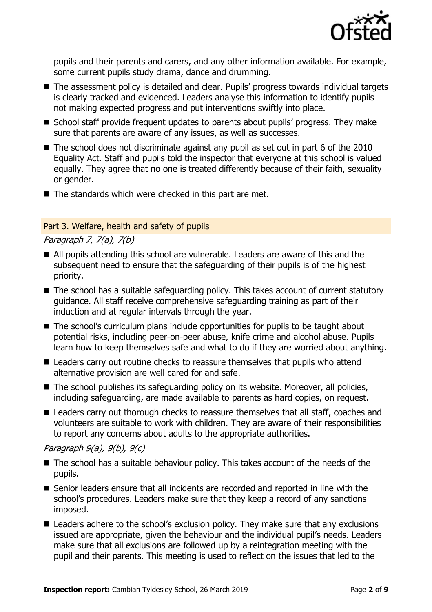

pupils and their parents and carers, and any other information available. For example, some current pupils study drama, dance and drumming.

- The assessment policy is detailed and clear. Pupils' progress towards individual targets is clearly tracked and evidenced. Leaders analyse this information to identify pupils not making expected progress and put interventions swiftly into place.
- School staff provide frequent updates to parents about pupils' progress. They make sure that parents are aware of any issues, as well as successes.
- The school does not discriminate against any pupil as set out in part 6 of the 2010 Equality Act. Staff and pupils told the inspector that everyone at this school is valued equally. They agree that no one is treated differently because of their faith, sexuality or gender.
- The standards which were checked in this part are met.

#### Part 3. Welfare, health and safety of pupils

#### Paragraph 7, 7(a), 7(b)

- All pupils attending this school are vulnerable. Leaders are aware of this and the subsequent need to ensure that the safeguarding of their pupils is of the highest priority.
- The school has a suitable safeguarding policy. This takes account of current statutory guidance. All staff receive comprehensive safeguarding training as part of their induction and at regular intervals through the year.
- The school's curriculum plans include opportunities for pupils to be taught about potential risks, including peer-on-peer abuse, knife crime and alcohol abuse. Pupils learn how to keep themselves safe and what to do if they are worried about anything.
- Leaders carry out routine checks to reassure themselves that pupils who attend alternative provision are well cared for and safe.
- The school publishes its safeguarding policy on its website. Moreover, all policies, including safeguarding, are made available to parents as hard copies, on request.
- Leaders carry out thorough checks to reassure themselves that all staff, coaches and volunteers are suitable to work with children. They are aware of their responsibilities to report any concerns about adults to the appropriate authorities.

Paragraph 9(a), 9(b), 9(c)

- The school has a suitable behaviour policy. This takes account of the needs of the pupils.
- Senior leaders ensure that all incidents are recorded and reported in line with the school's procedures. Leaders make sure that they keep a record of any sanctions imposed.
- Leaders adhere to the school's exclusion policy. They make sure that any exclusions issued are appropriate, given the behaviour and the individual pupil's needs. Leaders make sure that all exclusions are followed up by a reintegration meeting with the pupil and their parents. This meeting is used to reflect on the issues that led to the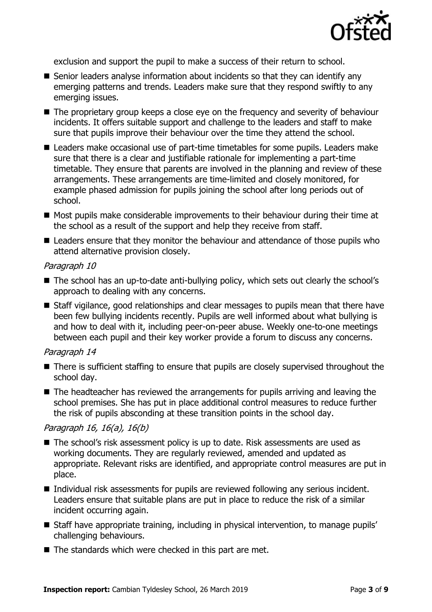

exclusion and support the pupil to make a success of their return to school.

- Senior leaders analyse information about incidents so that they can identify any emerging patterns and trends. Leaders make sure that they respond swiftly to any emerging issues.
- The proprietary group keeps a close eye on the frequency and severity of behaviour incidents. It offers suitable support and challenge to the leaders and staff to make sure that pupils improve their behaviour over the time they attend the school.
- Leaders make occasional use of part-time timetables for some pupils. Leaders make sure that there is a clear and justifiable rationale for implementing a part-time timetable. They ensure that parents are involved in the planning and review of these arrangements. These arrangements are time-limited and closely monitored, for example phased admission for pupils joining the school after long periods out of school.
- Most pupils make considerable improvements to their behaviour during their time at the school as a result of the support and help they receive from staff.
- Leaders ensure that they monitor the behaviour and attendance of those pupils who attend alternative provision closely.

#### Paragraph 10

- The school has an up-to-date anti-bullying policy, which sets out clearly the school's approach to dealing with any concerns.
- Staff vigilance, good relationships and clear messages to pupils mean that there have been few bullying incidents recently. Pupils are well informed about what bullying is and how to deal with it, including peer-on-peer abuse. Weekly one-to-one meetings between each pupil and their key worker provide a forum to discuss any concerns.

#### Paragraph 14

- There is sufficient staffing to ensure that pupils are closely supervised throughout the school day.
- $\blacksquare$  The headteacher has reviewed the arrangements for pupils arriving and leaving the school premises. She has put in place additional control measures to reduce further the risk of pupils absconding at these transition points in the school day.

#### Paragraph 16, 16(a), 16(b)

- The school's risk assessment policy is up to date. Risk assessments are used as working documents. They are regularly reviewed, amended and updated as appropriate. Relevant risks are identified, and appropriate control measures are put in place.
- Individual risk assessments for pupils are reviewed following any serious incident. Leaders ensure that suitable plans are put in place to reduce the risk of a similar incident occurring again.
- Staff have appropriate training, including in physical intervention, to manage pupils' challenging behaviours.
- The standards which were checked in this part are met.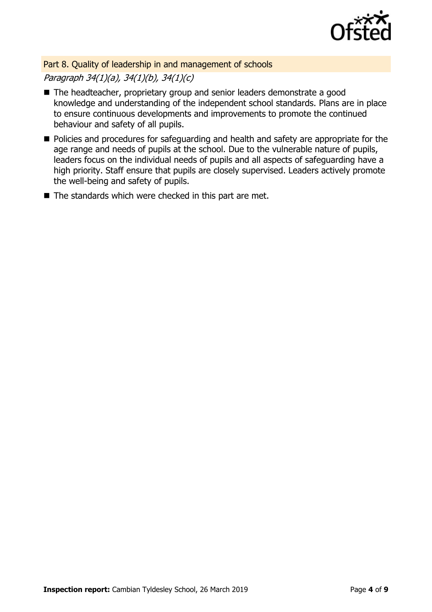

Part 8. Quality of leadership in and management of schools

Paragraph 34(1)(a), 34(1)(b), 34(1)(c)

- The headteacher, proprietary group and senior leaders demonstrate a good knowledge and understanding of the independent school standards. Plans are in place to ensure continuous developments and improvements to promote the continued behaviour and safety of all pupils.
- Policies and procedures for safeguarding and health and safety are appropriate for the age range and needs of pupils at the school. Due to the vulnerable nature of pupils, leaders focus on the individual needs of pupils and all aspects of safeguarding have a high priority. Staff ensure that pupils are closely supervised. Leaders actively promote the well-being and safety of pupils.
- The standards which were checked in this part are met.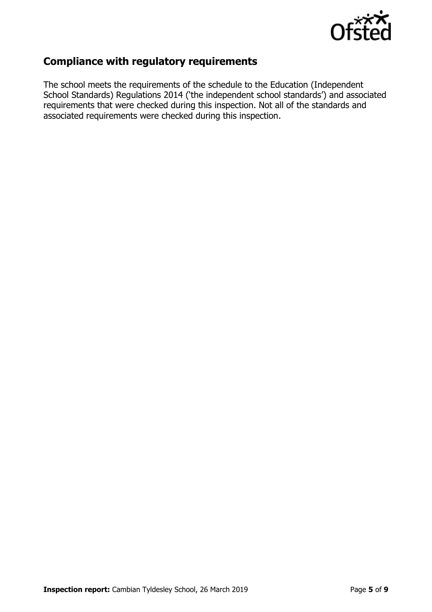

## **Compliance with regulatory requirements**

The school meets the requirements of the schedule to the Education (Independent School Standards) Regulations 2014 ('the independent school standards') and associated requirements that were checked during this inspection. Not all of the standards and associated requirements were checked during this inspection.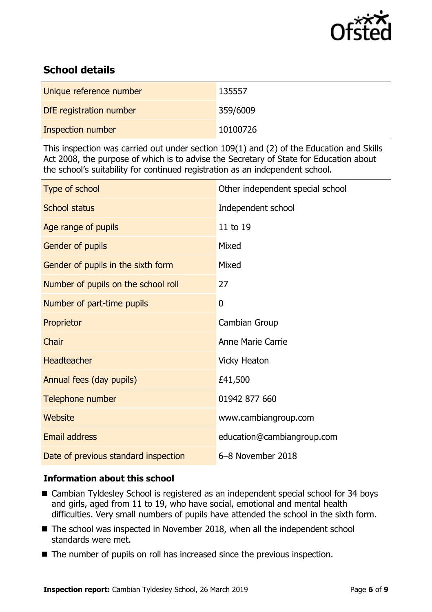

## **School details**

| Unique reference number | 135557   |
|-------------------------|----------|
| DfE registration number | 359/6009 |
| Inspection number       | 10100726 |

This inspection was carried out under section 109(1) and (2) of the Education and Skills Act 2008, the purpose of which is to advise the Secretary of State for Education about the school's suitability for continued registration as an independent school.

| Type of school                       | Other independent special school |
|--------------------------------------|----------------------------------|
| <b>School status</b>                 | Independent school               |
| Age range of pupils                  | 11 to 19                         |
| Gender of pupils                     | Mixed                            |
| Gender of pupils in the sixth form   | Mixed                            |
| Number of pupils on the school roll  | 27                               |
| Number of part-time pupils           | 0                                |
| Proprietor                           | Cambian Group                    |
| Chair                                | <b>Anne Marie Carrie</b>         |
| Headteacher                          | <b>Vicky Heaton</b>              |
| Annual fees (day pupils)             | £41,500                          |
| Telephone number                     | 01942 877 660                    |
| Website                              | www.cambiangroup.com             |
| Email address                        | education@cambiangroup.com       |
| Date of previous standard inspection | 6-8 November 2018                |

### **Information about this school**

- Cambian Tyldesley School is registered as an independent special school for 34 boys and girls, aged from 11 to 19, who have social, emotional and mental health difficulties. Very small numbers of pupils have attended the school in the sixth form.
- The school was inspected in November 2018, when all the independent school standards were met.
- The number of pupils on roll has increased since the previous inspection.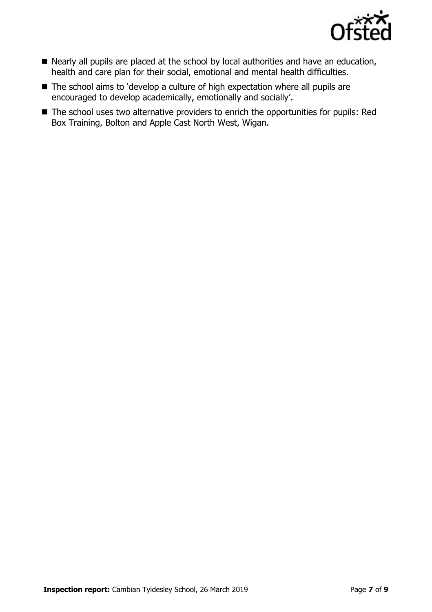

- Nearly all pupils are placed at the school by local authorities and have an education, health and care plan for their social, emotional and mental health difficulties.
- The school aims to 'develop a culture of high expectation where all pupils are encouraged to develop academically, emotionally and socially'.
- The school uses two alternative providers to enrich the opportunities for pupils: Red Box Training, Bolton and Apple Cast North West, Wigan.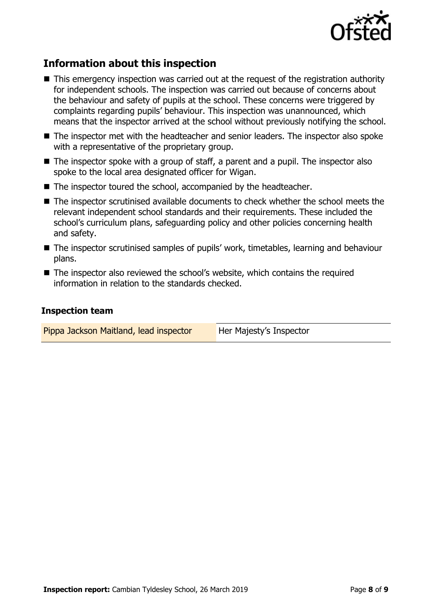

## **Information about this inspection**

- This emergency inspection was carried out at the request of the registration authority for independent schools. The inspection was carried out because of concerns about the behaviour and safety of pupils at the school. These concerns were triggered by complaints regarding pupils' behaviour. This inspection was unannounced, which means that the inspector arrived at the school without previously notifying the school.
- The inspector met with the headteacher and senior leaders. The inspector also spoke with a representative of the proprietary group.
- $\blacksquare$  The inspector spoke with a group of staff, a parent and a pupil. The inspector also spoke to the local area designated officer for Wigan.
- The inspector toured the school, accompanied by the headteacher.
- The inspector scrutinised available documents to check whether the school meets the relevant independent school standards and their requirements. These included the school's curriculum plans, safeguarding policy and other policies concerning health and safety.
- The inspector scrutinised samples of pupils' work, timetables, learning and behaviour plans.
- The inspector also reviewed the school's website, which contains the required information in relation to the standards checked.

#### **Inspection team**

| Pippa Jackson Maitland, lead inspector | Her Majesty's Inspector |
|----------------------------------------|-------------------------|
|----------------------------------------|-------------------------|